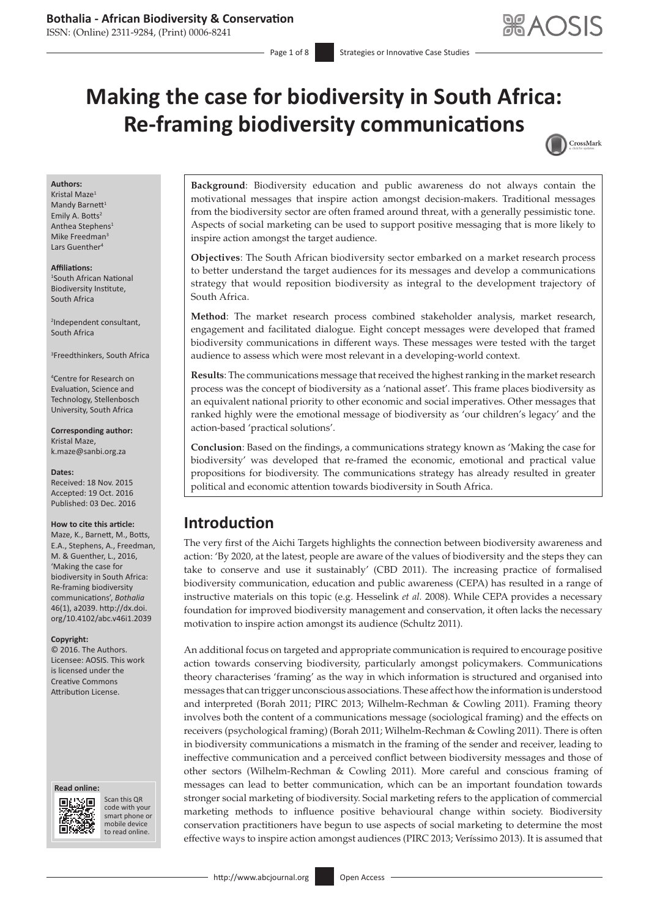ISSN: (Online) 2311-9284, (Print) 0006-8241

# **Making the case for biodiversity in South Africa: Re-framing biodiversity communications**



#### **Authors:**

Kristal Maze<sup>1</sup> Mandy Barnett $1$ Emily A. Botts<sup>2</sup> Anthea Stephens1 Mike Freedman<sup>3</sup> Lars Guenther<sup>4</sup>

# **Affiliations:**

1 South African National Biodiversity Institute, South Africa

2 Independent consultant, South Africa

3 Freedthinkers, South Africa

4 Centre for Research on Evaluation, Science and Technology, Stellenbosch University, South Africa

**Corresponding author:** Kristal Maze, [k.maze@sanbi.org.za](mailto:k.maze@sanbi.org.za)

#### **Dates:**

Received: 18 Nov. 2015 Accepted: 19 Oct. 2016 Published: 03 Dec. 2016

#### **How to cite this article:**

Maze, K., Barnett, M., Botts, E.A., Stephens, A., Freedman, M. & Guenther, L., 2016, 'Making the case for biodiversity in South Africa: Re-framing biodiversity communications', *Bothalia* 46(1), a2039. [http://dx.doi.](http://dx.doi.org/10.4102/abc.v46i1.2039) [org/10.4102/abc.v46i1.2039](http://dx.doi.org/10.4102/abc.v46i1.2039)

#### **Copyright:**

© 2016. The Authors. Licensee: AOSIS. This work is licensed under the Creative Commons Attribution License.

#### **Read online: Read**



Scan this QR code with your Scan this QR<br>code with your<br>smart phone or<br>mobile device mobile device to read online. to read online.

**Background**: Biodiversity education and public awareness do not always contain the motivational messages that inspire action amongst decision-makers. Traditional messages from the biodiversity sector are often framed around threat, with a generally pessimistic tone. Aspects of social marketing can be used to support positive messaging that is more likely to inspire action amongst the target audience.

**Objectives**: The South African biodiversity sector embarked on a market research process to better understand the target audiences for its messages and develop a communications strategy that would reposition biodiversity as integral to the development trajectory of South Africa.

**Method**: The market research process combined stakeholder analysis, market research, engagement and facilitated dialogue. Eight concept messages were developed that framed biodiversity communications in different ways. These messages were tested with the target audience to assess which were most relevant in a developing-world context.

**Results**: The communications message that received the highest ranking in the market research process was the concept of biodiversity as a 'national asset'. This frame places biodiversity as an equivalent national priority to other economic and social imperatives. Other messages that ranked highly were the emotional message of biodiversity as 'our children's legacy' and the action-based 'practical solutions'.

**Conclusion**: Based on the findings, a communications strategy known as 'Making the case for biodiversity' was developed that re-framed the economic, emotional and practical value propositions for biodiversity. The communications strategy has already resulted in greater political and economic attention towards biodiversity in South Africa.

# **Introduction**

The very first of the Aichi Targets highlights the connection between biodiversity awareness and action: 'By 2020, at the latest, people are aware of the values of biodiversity and the steps they can take to conserve and use it sustainably' (CBD 2011). The increasing practice of formalised biodiversity communication, education and public awareness (CEPA) has resulted in a range of instructive materials on this topic (e.g. Hesselink *et al.* 2008). While CEPA provides a necessary foundation for improved biodiversity management and conservation, it often lacks the necessary motivation to inspire action amongst its audience (Schultz 2011).

An additional focus on targeted and appropriate communication is required to encourage positive action towards conserving biodiversity, particularly amongst policymakers. Communications theory characterises 'framing' as the way in which information is structured and organised into messages that can trigger unconscious associations. These affect how the information is understood and interpreted (Borah 2011; PIRC 2013; Wilhelm-Rechman & Cowling 2011). Framing theory involves both the content of a communications message (sociological framing) and the effects on receivers (psychological framing) (Borah 2011; Wilhelm-Rechman & Cowling 2011). There is often in biodiversity communications a mismatch in the framing of the sender and receiver, leading to ineffective communication and a perceived conflict between biodiversity messages and those of other sectors (Wilhelm-Rechman & Cowling 2011). More careful and conscious framing of messages can lead to better communication, which can be an important foundation towards stronger social marketing of biodiversity. Social marketing refers to the application of commercial marketing methods to influence positive behavioural change within society. Biodiversity conservation practitioners have begun to use aspects of social marketing to determine the most effective ways to inspire action amongst audiences (PIRC 2013; Veríssimo 2013). It is assumed that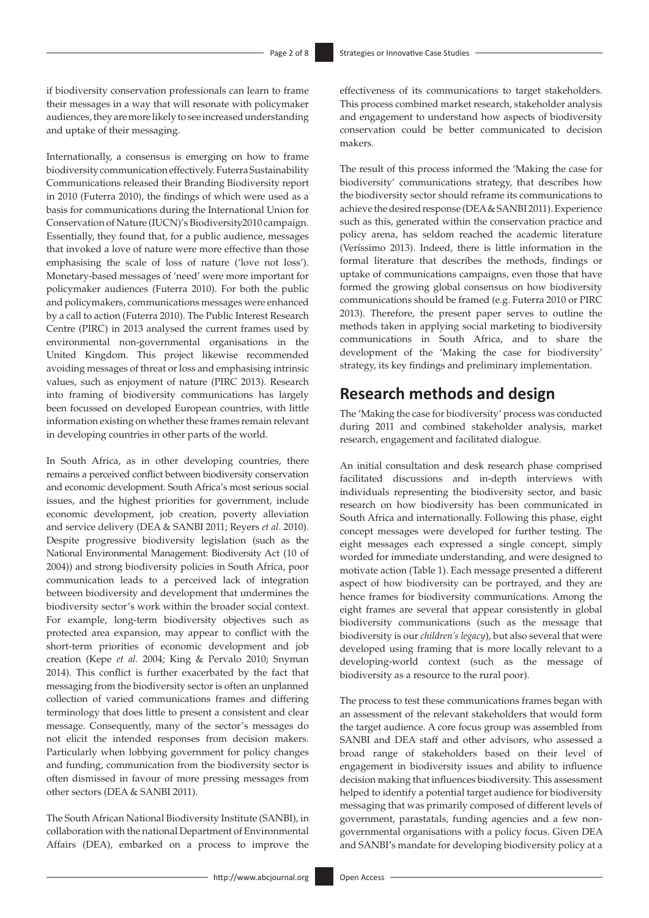if biodiversity conservation professionals can learn to frame their messages in a way that will resonate with policymaker audiences, they are more likely to see increased understanding and uptake of their messaging.

Internationally, a consensus is emerging on how to frame biodiversity communication effectively. Futerra Sustainability Communications released their Branding Biodiversity report in 2010 (Futerra 2010), the findings of which were used as a basis for communications during the International Union for Conservation of Nature (IUCN)'s Biodiversity2010 campaign. Essentially, they found that, for a public audience, messages that invoked a love of nature were more effective than those emphasising the scale of loss of nature ('love not loss'). Monetary-based messages of 'need' were more important for policymaker audiences (Futerra 2010). For both the public and policymakers, communications messages were enhanced by a call to action (Futerra 2010). The Public Interest Research Centre (PIRC) in 2013 analysed the current frames used by environmental non-governmental organisations in the United Kingdom. This project likewise recommended avoiding messages of threat or loss and emphasising intrinsic values, such as enjoyment of nature (PIRC 2013). Research into framing of biodiversity communications has largely been focussed on developed European countries, with little information existing on whether these frames remain relevant in developing countries in other parts of the world.

In South Africa, as in other developing countries, there remains a perceived conflict between biodiversity conservation and economic development. South Africa's most serious social issues, and the highest priorities for government, include economic development, job creation, poverty alleviation and service delivery (DEA & SANBI 2011; Reyers *et al*. 2010). Despite progressive biodiversity legislation (such as the National Environmental Management: Biodiversity Act (10 of 2004)) and strong biodiversity policies in South Africa, poor communication leads to a perceived lack of integration between biodiversity and development that undermines the biodiversity sector's work within the broader social context. For example, long-term biodiversity objectives such as protected area expansion, may appear to conflict with the short-term priorities of economic development and job creation (Kepe *et al.* 2004; King & Pervalo 2010; Snyman 2014). This conflict is further exacerbated by the fact that messaging from the biodiversity sector is often an unplanned collection of varied communications frames and differing terminology that does little to present a consistent and clear message. Consequently, many of the sector's messages do not elicit the intended responses from decision makers. Particularly when lobbying government for policy changes and funding, communication from the biodiversity sector is often dismissed in favour of more pressing messages from other sectors (DEA & SANBI 2011).

The South African National Biodiversity Institute (SANBI), in collaboration with the national Department of Environmental Affairs (DEA), embarked on a process to improve the effectiveness of its communications to target stakeholders. This process combined market research, stakeholder analysis and engagement to understand how aspects of biodiversity conservation could be better communicated to decision makers.

The result of this process informed the 'Making the case for biodiversity' communications strategy, that describes how the biodiversity sector should reframe its communications to achieve the desired response (DEA & SANBI 2011). Experience such as this, generated within the conservation practice and policy arena, has seldom reached the academic literature (Veríssimo 2013). Indeed, there is little information in the formal literature that describes the methods, findings or uptake of communications campaigns, even those that have formed the growing global consensus on how biodiversity communications should be framed (e.g. Futerra 2010 or PIRC 2013). Therefore, the present paper serves to outline the methods taken in applying social marketing to biodiversity communications in South Africa, and to share the development of the 'Making the case for biodiversity' strategy, its key findings and preliminary implementation.

## **Research methods and design**

The 'Making the case for biodiversity' process was conducted during 2011 and combined stakeholder analysis, market research, engagement and facilitated dialogue.

An initial consultation and desk research phase comprised facilitated discussions and in-depth interviews with individuals representing the biodiversity sector, and basic research on how biodiversity has been communicated in South Africa and internationally. Following this phase, eight concept messages were developed for further testing. The eight messages each expressed a single concept, simply worded for immediate understanding, and were designed to motivate action (Table 1). Each message presented a different aspect of how biodiversity can be portrayed, and they are hence frames for biodiversity communications. Among the eight frames are several that appear consistently in global biodiversity communications (such as the message that biodiversity is our *children's legacy*), but also several that were developed using framing that is more locally relevant to a developing-world context (such as the message of biodiversity as a resource to the rural poor).

The process to test these communications frames began with an assessment of the relevant stakeholders that would form the target audience. A core focus group was assembled from SANBI and DEA staff and other advisors, who assessed a broad range of stakeholders based on their level of engagement in biodiversity issues and ability to influence decision making that influences biodiversity. This assessment helped to identify a potential target audience for biodiversity messaging that was primarily composed of different levels of government, parastatals, funding agencies and a few nongovernmental organisations with a policy focus. Given DEA and SANBI's mandate for developing biodiversity policy at a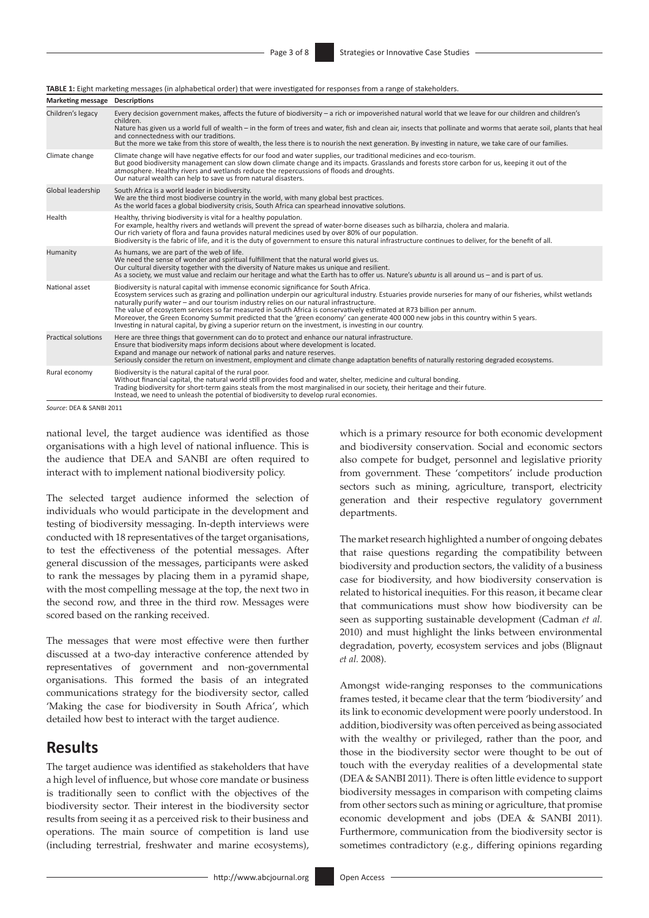#### **TABLE 1:** Eight marketing messages (in alphabetical order) that were investigated for responses from a range of stakeholders.

| Marketing message Descriptions |                                                                                                                                                                                                                                                                                                                                                                                                                                                                                                                                                                                                                                                                                                                               |  |
|--------------------------------|-------------------------------------------------------------------------------------------------------------------------------------------------------------------------------------------------------------------------------------------------------------------------------------------------------------------------------------------------------------------------------------------------------------------------------------------------------------------------------------------------------------------------------------------------------------------------------------------------------------------------------------------------------------------------------------------------------------------------------|--|
| Children's legacy              | Every decision government makes, affects the future of biodiversity - a rich or impoverished natural world that we leave for our children and children's<br>children.<br>Nature has given us a world full of wealth – in the form of trees and water, fish and clean air, insects that pollinate and worms that aerate soil, plants that heal<br>and connectedness with our traditions.<br>But the more we take from this store of wealth, the less there is to nourish the next generation. By investing in nature, we take care of our families.                                                                                                                                                                            |  |
| Climate change                 | Climate change will have negative effects for our food and water supplies, our traditional medicines and eco-tourism.<br>But good biodiversity management can slow down climate change and its impacts. Grasslands and forests store carbon for us, keeping it out of the<br>atmosphere. Healthy rivers and wetlands reduce the repercussions of floods and droughts.<br>Our natural wealth can help to save us from natural disasters.                                                                                                                                                                                                                                                                                       |  |
| Global leadership              | South Africa is a world leader in biodiversity.<br>We are the third most biodiverse country in the world, with many global best practices.<br>As the world faces a global biodiversity crisis, South Africa can spearhead innovative solutions.                                                                                                                                                                                                                                                                                                                                                                                                                                                                               |  |
| Health                         | Healthy, thriving biodiversity is vital for a healthy population.<br>For example, healthy rivers and wetlands will prevent the spread of water-borne diseases such as bilharzia, cholera and malaria.<br>Our rich variety of flora and fauna provides natural medicines used by over 80% of our population.<br>Biodiversity is the fabric of life, and it is the duty of government to ensure this natural infrastructure continues to deliver, for the benefit of all.                                                                                                                                                                                                                                                       |  |
| Humanity                       | As humans, we are part of the web of life.<br>We need the sense of wonder and spiritual fulfillment that the natural world gives us.<br>Our cultural diversity together with the diversity of Nature makes us unique and resilient.<br>As a society, we must value and reclaim our heritage and what the Earth has to offer us. Nature's ubuntu is all around us - and is part of us.                                                                                                                                                                                                                                                                                                                                         |  |
| National asset                 | Biodiversity is natural capital with immense economic significance for South Africa.<br>Ecosystem services such as grazing and pollination underpin our agricultural industry. Estuaries provide nurseries for many of our fisheries, whilst wetlands<br>naturally purify water - and our tourism industry relies on our natural infrastructure.<br>The value of ecosystem services so far measured in South Africa is conservatively estimated at R73 billion per annum.<br>Moreover, the Green Economy Summit predicted that the 'green economy' can generate 400 000 new jobs in this country within 5 years.<br>Investing in natural capital, by giving a superior return on the investment, is investing in our country. |  |
| <b>Practical solutions</b>     | Here are three things that government can do to protect and enhance our natural infrastructure.<br>Ensure that biodiversity maps inform decisions about where development is located.<br>Expand and manage our network of national parks and nature reserves.<br>Seriously consider the return on investment, employment and climate change adaptation benefits of naturally restoring degraded ecosystems.                                                                                                                                                                                                                                                                                                                   |  |
| Rural economy                  | Biodiversity is the natural capital of the rural poor.<br>Without financial capital, the natural world still provides food and water, shelter, medicine and cultural bonding.<br>Trading biodiversity for short-term gains steals from the most marginalised in our society, their heritage and their future.<br>Instead, we need to unleash the potential of biodiversity to develop rural economies.                                                                                                                                                                                                                                                                                                                        |  |

*Source*: DEA & SANBI 2011

national level, the target audience was identified as those organisations with a high level of national influence. This is the audience that DEA and SANBI are often required to interact with to implement national biodiversity policy.

The selected target audience informed the selection of individuals who would participate in the development and testing of biodiversity messaging. In-depth interviews were conducted with 18 representatives of the target organisations, to test the effectiveness of the potential messages. After general discussion of the messages, participants were asked to rank the messages by placing them in a pyramid shape, with the most compelling message at the top, the next two in the second row, and three in the third row. Messages were scored based on the ranking received.

The messages that were most effective were then further discussed at a two-day interactive conference attended by representatives of government and non-governmental organisations. This formed the basis of an integrated communications strategy for the biodiversity sector, called 'Making the case for biodiversity in South Africa', which detailed how best to interact with the target audience.

### **Results**

The target audience was identified as stakeholders that have a high level of influence, but whose core mandate or business is traditionally seen to conflict with the objectives of the biodiversity sector. Their interest in the biodiversity sector results from seeing it as a perceived risk to their business and operations. The main source of competition is land use (including terrestrial, freshwater and marine ecosystems), which is a primary resource for both economic development and biodiversity conservation. Social and economic sectors also compete for budget, personnel and legislative priority from government. These 'competitors' include production sectors such as mining, agriculture, transport, electricity generation and their respective regulatory government departments.

The market research highlighted a number of ongoing debates that raise questions regarding the compatibility between biodiversity and production sectors, the validity of a business case for biodiversity, and how biodiversity conservation is related to historical inequities. For this reason, it became clear that communications must show how biodiversity can be seen as supporting sustainable development (Cadman *et al.* 2010) and must highlight the links between environmental degradation, poverty, ecosystem services and jobs (Blignaut *et al.* 2008).

Amongst wide-ranging responses to the communications frames tested, it became clear that the term 'biodiversity' and its link to economic development were poorly understood. In addition, biodiversity was often perceived as being associated with the wealthy or privileged, rather than the poor, and those in the biodiversity sector were thought to be out of touch with the everyday realities of a developmental state (DEA & SANBI 2011). There is often little evidence to support biodiversity messages in comparison with competing claims from other sectors such as mining or agriculture, that promise economic development and jobs (DEA & SANBI 2011). Furthermore, communication from the biodiversity sector is sometimes contradictory (e.g., differing opinions regarding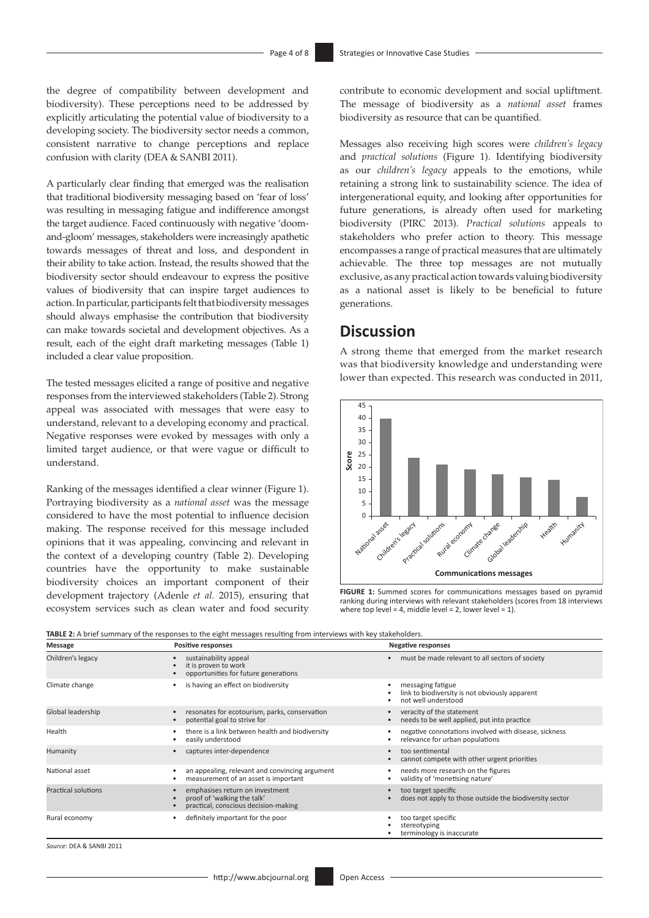the degree of compatibility between development and biodiversity). These perceptions need to be addressed by explicitly articulating the potential value of biodiversity to a developing society. The biodiversity sector needs a common, consistent narrative to change perceptions and replace confusion with clarity (DEA & SANBI 2011).

A particularly clear finding that emerged was the realisation that traditional biodiversity messaging based on 'fear of loss' was resulting in messaging fatigue and indifference amongst the target audience. Faced continuously with negative 'doomand-gloom' messages, stakeholders were increasingly apathetic towards messages of threat and loss, and despondent in their ability to take action. Instead, the results showed that the biodiversity sector should endeavour to express the positive values of biodiversity that can inspire target audiences to action. In particular, participants felt that biodiversity messages should always emphasise the contribution that biodiversity can make towards societal and development objectives. As a result, each of the eight draft marketing messages (Table 1) included a clear value proposition.

The tested messages elicited a range of positive and negative responses from the interviewed stakeholders (Table 2). Strong appeal was associated with messages that were easy to understand, relevant to a developing economy and practical. Negative responses were evoked by messages with only a limited target audience, or that were vague or difficult to understand.

Ranking of the messages identified a clear winner (Figure 1). Portraying biodiversity as a *national asset* was the message considered to have the most potential to influence decision making. The response received for this message included opinions that it was appealing, convincing and relevant in the context of a developing country (Table 2). Developing countries have the opportunity to make sustainable biodiversity choices an important component of their development trajectory (Adenle *et al.* 2015), ensuring that ecosystem services such as clean water and food security contribute to economic development and social upliftment. The message of biodiversity as a *national asset* frames biodiversity as resource that can be quantified.

Messages also receiving high scores were *children's legacy* and *practical solutions* (Figure 1). Identifying biodiversity as our *children's legacy* appeals to the emotions, while retaining a strong link to sustainability science. The idea of intergenerational equity, and looking after opportunities for future generations, is already often used for marketing biodiversity (PIRC 2013). *Practical solutions* appeals to stakeholders who prefer action to theory. This message encompasses a range of practical measures that are ultimately achievable. The three top messages are not mutually exclusive, as any practical action towards valuing biodiversity as a national asset is likely to be beneficial to future generations.

# **Discussion**

A strong theme that emerged from the market research was that biodiversity knowledge and understanding were lower than expected. This research was conducted in 2011,



**FIGURE 1:** Summed scores for communications messages based on pyramid ranking during interviews with relevant stakeholders (scores from 18 interviews where top level = 4, middle level = 2, lower level = 1).

| Message                    | <b>Positive responses</b>                                                                              | <b>Negative responses</b>                                                                  |
|----------------------------|--------------------------------------------------------------------------------------------------------|--------------------------------------------------------------------------------------------|
| Children's legacy          | sustainability appeal<br>$\bullet$<br>it is proven to work<br>opportunities for future generations     | must be made relevant to all sectors of society                                            |
| Climate change             | is having an effect on biodiversity                                                                    | messaging fatigue<br>link to biodiversity is not obviously apparent<br>not well understood |
| Global leadership          | resonates for ecotourism, parks, conservation<br>potential goal to strive for                          | veracity of the statement<br>needs to be well applied, put into practice                   |
| Health                     | there is a link between health and biodiversity<br>easily understood                                   | negative connotations involved with disease, sickness<br>relevance for urban populations   |
| Humanity                   | captures inter-dependence                                                                              | too sentimental<br>cannot compete with other urgent priorities                             |
| National asset             | an appealing, relevant and convincing argument<br>measurement of an asset is important                 | needs more research on the figures<br>validity of 'monetising nature'                      |
| <b>Practical solutions</b> | emphasises return on investment<br>proof of 'walking the talk'<br>practical, conscious decision-making | too target specific<br>does not apply to those outside the biodiversity sector             |
| Rural economy              | definitely important for the poor                                                                      | too target specific<br>stereotyping<br>terminology is inaccurate                           |

**TABLE 2:** A brief summary of the responses to the eight messages resulting from interviews with key stakeholders.

*Source*: DEA & SANBI 2011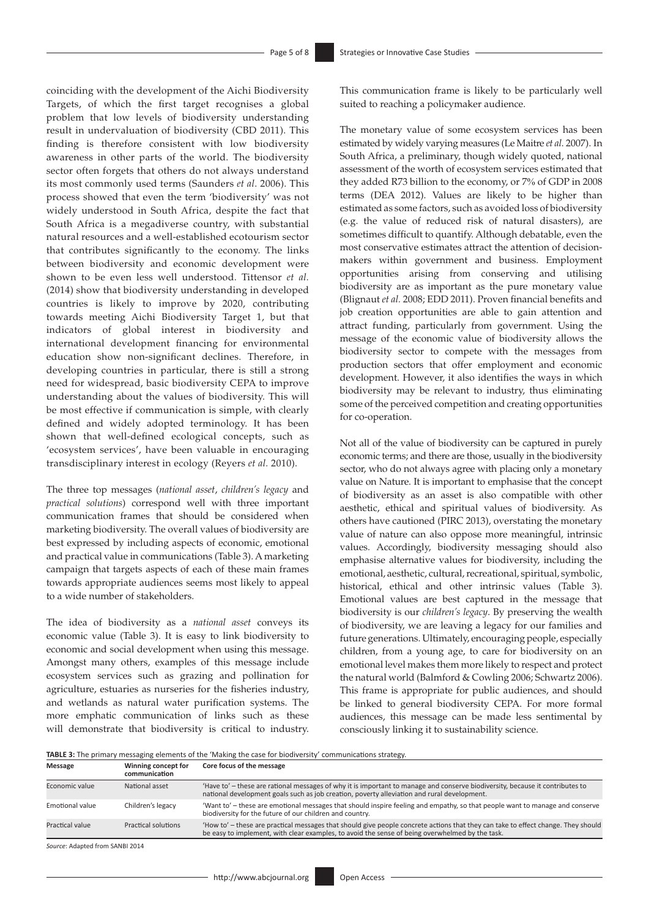coinciding with the development of the Aichi Biodiversity Targets, of which the first target recognises a global problem that low levels of biodiversity understanding result in undervaluation of biodiversity (CBD 2011). This finding is therefore consistent with low biodiversity awareness in other parts of the world. The biodiversity sector often forgets that others do not always understand its most commonly used terms (Saunders *et al*. 2006). This process showed that even the term 'biodiversity' was not widely understood in South Africa, despite the fact that South Africa is a megadiverse country, with substantial natural resources and a well-established ecotourism sector that contributes significantly to the economy. The links between biodiversity and economic development were shown to be even less well understood. Tittensor *et al.* (2014) show that biodiversity understanding in developed countries is likely to improve by 2020, contributing towards meeting Aichi Biodiversity Target 1, but that indicators of global interest in biodiversity and international development financing for environmental education show non-significant declines. Therefore, in developing countries in particular, there is still a strong need for widespread, basic biodiversity CEPA to improve understanding about the values of biodiversity. This will be most effective if communication is simple, with clearly defined and widely adopted terminology. It has been shown that well-defined ecological concepts, such as 'ecosystem services', have been valuable in encouraging transdisciplinary interest in ecology (Reyers *et al.* 2010).

The three top messages (*national asset*, *children's legacy* and *practical solutions*) correspond well with three important communication frames that should be considered when marketing biodiversity. The overall values of biodiversity are best expressed by including aspects of economic, emotional and practical value in communications (Table 3). A marketing campaign that targets aspects of each of these main frames towards appropriate audiences seems most likely to appeal to a wide number of stakeholders.

The idea of biodiversity as a *national asset* conveys its economic value (Table 3). It is easy to link biodiversity to economic and social development when using this message. Amongst many others, examples of this message include ecosystem services such as grazing and pollination for agriculture, estuaries as nurseries for the fisheries industry, and wetlands as natural water purification systems. The more emphatic communication of links such as these will demonstrate that biodiversity is critical to industry. This communication frame is likely to be particularly well suited to reaching a policymaker audience.

The monetary value of some ecosystem services has been estimated by widely varying measures (Le Maitre *et al*. 2007). In South Africa, a preliminary, though widely quoted, national assessment of the worth of ecosystem services estimated that they added R73 billion to the economy, or 7% of GDP in 2008 terms (DEA 2012). Values are likely to be higher than estimated as some factors, such as avoided loss of biodiversity (e.g. the value of reduced risk of natural disasters), are sometimes difficult to quantify. Although debatable, even the most conservative estimates attract the attention of decisionmakers within government and business. Employment opportunities arising from conserving and utilising biodiversity are as important as the pure monetary value (Blignaut *et al.* 2008; EDD 2011). Proven financial benefits and job creation opportunities are able to gain attention and attract funding, particularly from government. Using the message of the economic value of biodiversity allows the biodiversity sector to compete with the messages from production sectors that offer employment and economic development. However, it also identifies the ways in which biodiversity may be relevant to industry, thus eliminating some of the perceived competition and creating opportunities for co-operation.

Not all of the value of biodiversity can be captured in purely economic terms; and there are those, usually in the biodiversity sector, who do not always agree with placing only a monetary value on Nature. It is important to emphasise that the concept of biodiversity as an asset is also compatible with other aesthetic, ethical and spiritual values of biodiversity. As others have cautioned (PIRC 2013), overstating the monetary value of nature can also oppose more meaningful, intrinsic values. Accordingly, biodiversity messaging should also emphasise alternative values for biodiversity, including the emotional, aesthetic, cultural, recreational, spiritual, symbolic, historical, ethical and other intrinsic values (Table 3). Emotional values are best captured in the message that biodiversity is our *children's legacy*. By preserving the wealth of biodiversity, we are leaving a legacy for our families and future generations. Ultimately, encouraging people, especially children, from a young age, to care for biodiversity on an emotional level makes them more likely to respect and protect the natural world (Balmford & Cowling 2006; Schwartz 2006). This frame is appropriate for public audiences, and should be linked to general biodiversity CEPA. For more formal audiences, this message can be made less sentimental by consciously linking it to sustainability science.

**TABLE 3:** The primary messaging elements of the 'Making the case for biodiversity' communications strategy.

| Message         | Winning concept for<br>communication | Core focus of the message                                                                                                                                                                                                            |
|-----------------|--------------------------------------|--------------------------------------------------------------------------------------------------------------------------------------------------------------------------------------------------------------------------------------|
| Economic value  | National asset                       | 'Have to' - these are rational messages of why it is important to manage and conserve biodiversity, because it contributes to<br>national development goals such as job creation, poverty alleviation and rural development.         |
| Emotional value | Children's legacy                    | 'Want to' - these are emotional messages that should inspire feeling and empathy, so that people want to manage and conserve<br>biodiversity for the future of our children and country.                                             |
| Practical value | Practical solutions                  | 'How to' - these are practical messages that should give people concrete actions that they can take to effect change. They should<br>be easy to implement, with clear examples, to avoid the sense of being overwhelmed by the task. |

*Source*: Adapted from SANBI 2014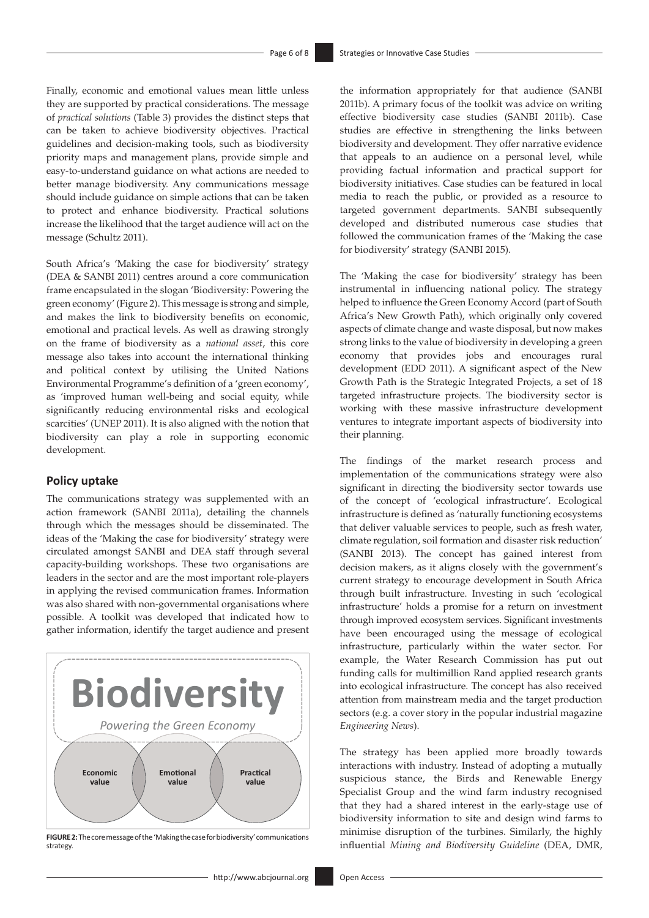Finally, economic and emotional values mean little unless they are supported by practical considerations. The message of *practical solutions* (Table 3) provides the distinct steps that can be taken to achieve biodiversity objectives. Practical guidelines and decision-making tools, such as biodiversity priority maps and management plans, provide simple and easy-to-understand guidance on what actions are needed to better manage biodiversity. Any communications message should include guidance on simple actions that can be taken to protect and enhance biodiversity. Practical solutions increase the likelihood that the target audience will act on the message (Schultz 2011).

South Africa's 'Making the case for biodiversity' strategy (DEA & SANBI 2011) centres around a core communication frame encapsulated in the slogan 'Biodiversity: Powering the green economy' (Figure 2). This message is strong and simple, and makes the link to biodiversity benefits on economic, emotional and practical levels. As well as drawing strongly on the frame of biodiversity as a *national asset*, this core message also takes into account the international thinking and political context by utilising the United Nations Environmental Programme's definition of a 'green economy', as 'improved human well-being and social equity, while significantly reducing environmental risks and ecological scarcities' (UNEP 2011). It is also aligned with the notion that biodiversity can play a role in supporting economic development.

#### **Policy uptake**

The communications strategy was supplemented with an action framework (SANBI 2011a), detailing the channels through which the messages should be disseminated. The ideas of the 'Making the case for biodiversity' strategy were circulated amongst SANBI and DEA staff through several capacity-building workshops. These two organisations are leaders in the sector and are the most important role-players in applying the revised communication frames. Information was also shared with non-governmental organisations where possible. A toolkit was developed that indicated how to gather information, identify the target audience and present



**FIGURE 2:** The core message of the 'Making the case for biodiversity' communications strategy.

the information appropriately for that audience (SANBI 2011b). A primary focus of the toolkit was advice on writing effective biodiversity case studies (SANBI 2011b). Case studies are effective in strengthening the links between biodiversity and development. They offer narrative evidence that appeals to an audience on a personal level, while providing factual information and practical support for biodiversity initiatives. Case studies can be featured in local media to reach the public, or provided as a resource to targeted government departments. SANBI subsequently developed and distributed numerous case studies that followed the communication frames of the 'Making the case for biodiversity' strategy (SANBI 2015).

The 'Making the case for biodiversity' strategy has been instrumental in influencing national policy. The strategy helped to influence the Green Economy Accord (part of South Africa's New Growth Path), which originally only covered aspects of climate change and waste disposal, but now makes strong links to the value of biodiversity in developing a green economy that provides jobs and encourages rural development (EDD 2011). A significant aspect of the New Growth Path is the Strategic Integrated Projects, a set of 18 targeted infrastructure projects. The biodiversity sector is working with these massive infrastructure development ventures to integrate important aspects of biodiversity into their planning.

The findings of the market research process and implementation of the communications strategy were also significant in directing the biodiversity sector towards use of the concept of 'ecological infrastructure'. Ecological infrastructure is defined as 'naturally functioning ecosystems that deliver valuable services to people, such as fresh water, climate regulation, soil formation and disaster risk reduction' (SANBI 2013). The concept has gained interest from decision makers, as it aligns closely with the government's current strategy to encourage development in South Africa through built infrastructure. Investing in such 'ecological infrastructure' holds a promise for a return on investment through improved ecosystem services. Significant investments have been encouraged using the message of ecological infrastructure, particularly within the water sector. For example, the Water Research Commission has put out funding calls for multimillion Rand applied research grants into ecological infrastructure. The concept has also received attention from mainstream media and the target production sectors (e.g. a cover story in the popular industrial magazine *Engineering News*).

The strategy has been applied more broadly towards interactions with industry. Instead of adopting a mutually suspicious stance, the Birds and Renewable Energy Specialist Group and the wind farm industry recognised that they had a shared interest in the early-stage use of biodiversity information to site and design wind farms to minimise disruption of the turbines. Similarly, the highly influential *Mining and Biodiversity Guideline* (DEA, DMR,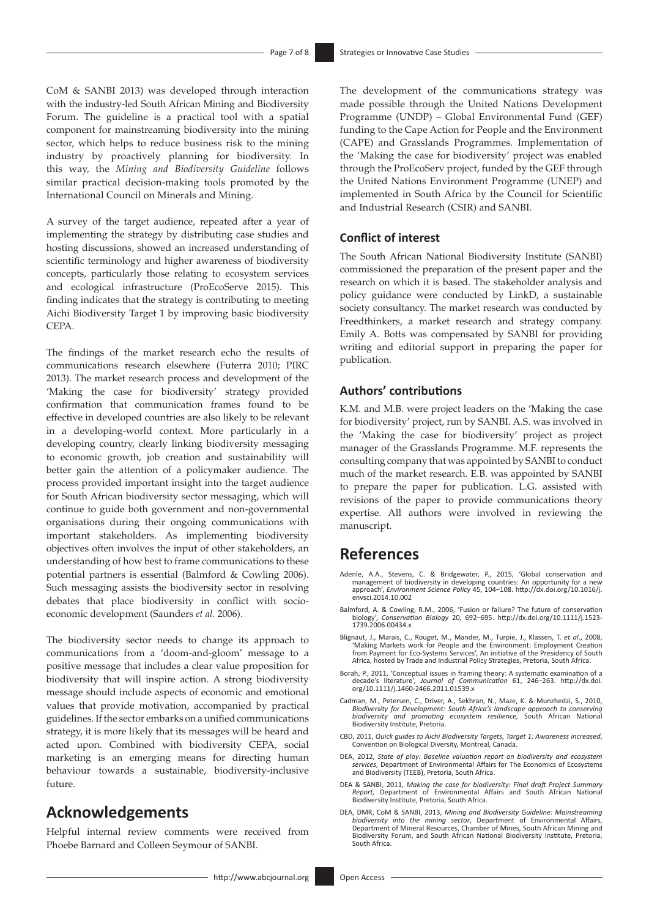CoM & SANBI 2013) was developed through interaction with the industry-led South African Mining and Biodiversity Forum. The guideline is a practical tool with a spatial component for mainstreaming biodiversity into the mining sector, which helps to reduce business risk to the mining industry by proactively planning for biodiversity. In this way, the *Mining and Biodiversity Guideline* follows similar practical decision-making tools promoted by the International Council on Minerals and Mining.

A survey of the target audience, repeated after a year of implementing the strategy by distributing case studies and hosting discussions, showed an increased understanding of scientific terminology and higher awareness of biodiversity concepts, particularly those relating to ecosystem services and ecological infrastructure (ProEcoServe 2015). This finding indicates that the strategy is contributing to meeting Aichi Biodiversity Target 1 by improving basic biodiversity CEPA.

The findings of the market research echo the results of communications research elsewhere (Futerra 2010; PIRC 2013). The market research process and development of the 'Making the case for biodiversity' strategy provided confirmation that communication frames found to be effective in developed countries are also likely to be relevant in a developing-world context. More particularly in a developing country, clearly linking biodiversity messaging to economic growth, job creation and sustainability will better gain the attention of a policymaker audience. The process provided important insight into the target audience for South African biodiversity sector messaging, which will continue to guide both government and non-governmental organisations during their ongoing communications with important stakeholders. As implementing biodiversity objectives often involves the input of other stakeholders, an understanding of how best to frame communications to these potential partners is essential (Balmford & Cowling 2006). Such messaging assists the biodiversity sector in resolving debates that place biodiversity in conflict with socioeconomic development (Saunders *et al.* 2006).

The biodiversity sector needs to change its approach to communications from a 'doom-and-gloom' message to a positive message that includes a clear value proposition for biodiversity that will inspire action. A strong biodiversity message should include aspects of economic and emotional values that provide motivation, accompanied by practical guidelines. If the sector embarks on a unified communications strategy, it is more likely that its messages will be heard and acted upon. Combined with biodiversity CEPA, social marketing is an emerging means for directing human behaviour towards a sustainable, biodiversity-inclusive future.

### **Acknowledgements**

Helpful internal review comments were received from Phoebe Barnard and Colleen Seymour of SANBI.

The development of the communications strategy was made possible through the United Nations Development Programme (UNDP) – Global Environmental Fund (GEF) funding to the Cape Action for People and the Environment (CAPE) and Grasslands Programmes. Implementation of the 'Making the case for biodiversity' project was enabled through the ProEcoServ project, funded by the GEF through the United Nations Environment Programme (UNEP) and implemented in South Africa by the Council for Scientific and Industrial Research (CSIR) and SANBI.

#### **Conflict of interest**

The South African National Biodiversity Institute (SANBI) commissioned the preparation of the present paper and the research on which it is based. The stakeholder analysis and policy guidance were conducted by LinkD, a sustainable society consultancy. The market research was conducted by Freedthinkers, a market research and strategy company. Emily A. Botts was compensated by SANBI for providing writing and editorial support in preparing the paper for publication.

#### **Authors' contributions**

K.M. and M.B. were project leaders on the 'Making the case for biodiversity' project, run by SANBI. A.S. was involved in the 'Making the case for biodiversity' project as project manager of the Grasslands Programme. M.F. represents the consulting company that was appointed by SANBI to conduct much of the market research. E.B. was appointed by SANBI to prepare the paper for publication. L.G. assisted with revisions of the paper to provide communications theory expertise. All authors were involved in reviewing the manuscript.

### **References**

- Adenle, A.A., Stevens, C. & Bridgewater, P., 2015, 'Global conservation and management of biodiversity in developing countries: An opportunity for a new approach', *Environment Science Policy* 45, 104–108. [http://dx.doi.org/10.1016/j.](http://dx.doi.org/10.1016/j.envsci.2014.10.002) [envsci.2014.10.002](http://dx.doi.org/10.1016/j.envsci.2014.10.002)
- Balmford, A. & Cowling, R.M., 2006, 'Fusion or failure? The future of conservation biology', *Conservation Biology* 20, 692–695. [http://dx.doi.org/10.1111/j.1523-](http://dx.doi.org/10.1111/j.1523-1739.2006.00434.x) [1739.2006.00434.x](http://dx.doi.org/10.1111/j.1523-1739.2006.00434.x)
- Blignaut, J., Marais, C., Rouget, M., Mander, M., Turpie, J., Klassen, T. *et al*., 2008, 'Making Markets work for People and the Environment: Employment Creation from Payment for Eco-Systems Services', An initiative of the Presidency of South Africa, hosted by Trade and Industrial Policy Strategies, Pretoria, South Africa.
- Borah, P., 2011, 'Conceptual issues in framing theory: A systematic examination of a decade's literature', *Journal of Communication* 61, 246–263. [http://dx.doi.](http://dx.doi.org/10.1111/j.1460-2466.2011.01539.x) [org/10.1111/j.1460-2466.2011.01539.x](http://dx.doi.org/10.1111/j.1460-2466.2011.01539.x)
- Cadman, M., Petersen, C., Driver, A., Sekhran, N., Maze, K. & Munzhedzi, S., 2010, *Biodiversity for Development: South Africa's landscape approach to conserving biodiversity and promoting ecosystem resilience,* South African National Biodiversity Institute, Pretoria.
- CBD, 2011, *Quick guides to Aichi Biodiversity Targets, Target 1: Awareness increased*, Convention on Biological Diversity, Montreal, Canada.
- DEA, 2012, *State of play: Baseline valuation report on biodiversity and ecosystem services,* Department of Environmental Affairs for The Economics of Ecosystems and Biodiversity (TEEB), Pretoria, South Africa.
- DEA & SANBI, 2011, *Making the case for biodiversity: Final draft Project Summary Report,* Department of Environmental Affairs and South African National Biodiversity Institute, Pretoria, South Africa.
- DEA, DMR, CoM & SANBI, 2013, *Mining and Biodiversity Guideline: Mainstreaming*  biodiversity into the mining sector, Department of Environmental Affairs,<br>Department of Mineral Resources, Chamber of Mines, South African Mining and<br>Biodiversity Forum, and South African National Biodiversity Institute, P South Africa.